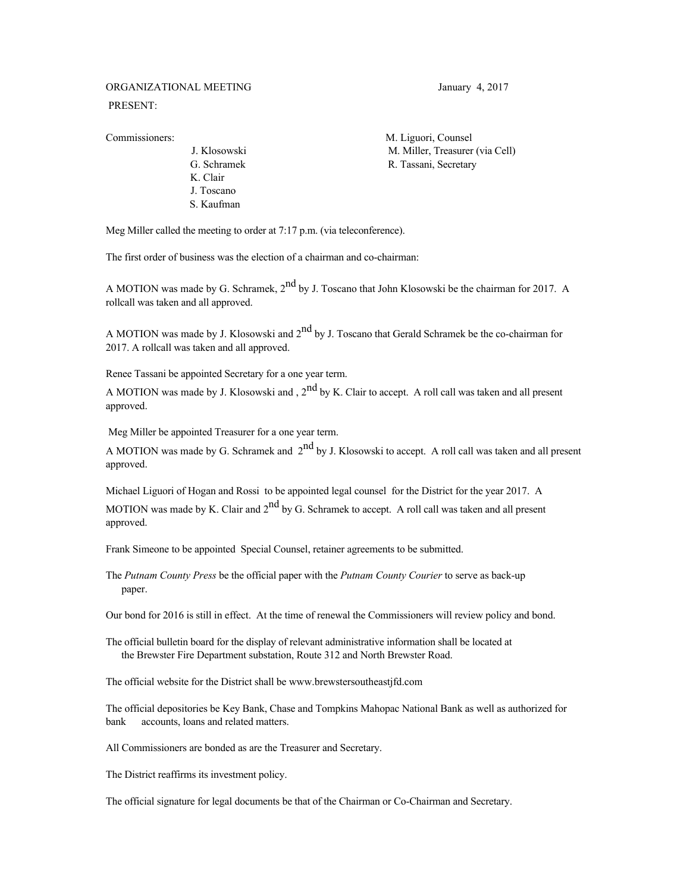## ORGANIZATIONAL MEETING January 4, 2017 PRESENT:

 K. Clair J. Toscano S. Kaufman

Commissioners: M. Liguori, Counsel J. Klosowski M. Miller, Treasurer (via Cell) G. Schramek R. Tassani, Secretary

Meg Miller called the meeting to order at 7:17 p.m. (via teleconference).

The first order of business was the election of a chairman and co-chairman:

A MOTION was made by G. Schramek,  $2^{nd}$  by J. Toscano that John Klosowski be the chairman for 2017. A rollcall was taken and all approved.

A MOTION was made by J. Klosowski and  $2<sup>nd</sup>$  by J. Toscano that Gerald Schramek be the co-chairman for 2017. A rollcall was taken and all approved.

Renee Tassani be appointed Secretary for a one year term.

A MOTION was made by J. Klosowski and ,  $2<sup>nd</sup>$  by K. Clair to accept. A roll call was taken and all present approved.

Meg Miller be appointed Treasurer for a one year term.

A MOTION was made by G. Schramek and  $2^{nd}$  by J. Klosowski to accept. A roll call was taken and all present approved.

Michael Liguori of Hogan and Rossi to be appointed legal counsel for the District for the year 2017. A MOTION was made by K. Clair and  $2<sup>nd</sup>$  by G. Schramek to accept. A roll call was taken and all present approved.

Frank Simeone to be appointed Special Counsel, retainer agreements to be submitted.

The *Putnam County Press* be the official paper with the *Putnam County Courier* to serve as back-up paper.

Our bond for 2016 is still in effect. At the time of renewal the Commissioners will review policy and bond.

The official bulletin board for the display of relevant administrative information shall be located at the Brewster Fire Department substation, Route 312 and North Brewster Road.

The official website for the District shall be [www.brewstersoutheastjfd.com](http://www.brewstersoutheastjfd.com/)

The official depositories be Key Bank, Chase and Tompkins Mahopac National Bank as well as authorized for bank accounts, loans and related matters.

All Commissioners are bonded as are the Treasurer and Secretary.

The District reaffirms its investment policy.

The official signature for legal documents be that of the Chairman or Co-Chairman and Secretary.